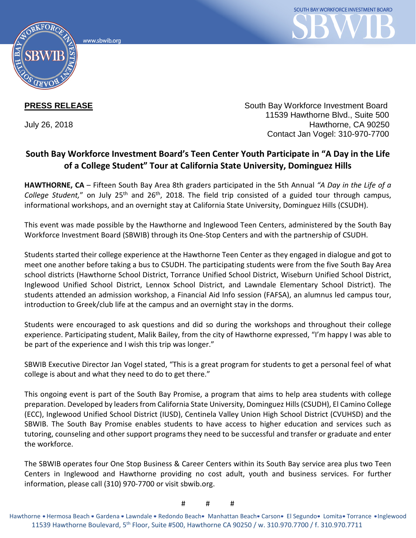



**PRESS RELEASE** South Bay Workforce Investment Board 11539 Hawthorne Blvd., Suite 500 July 26, 2018 Hawthorne, CA 90250 Contact Jan Vogel: 310-970-7700

## **South Bay Workforce Investment Board's Teen Center Youth Participate in "A Day in the Life of a College Student" Tour at California State University, Dominguez Hills**

**HAWTHORNE, CA** – Fifteen South Bay Area 8th graders participated in the 5th Annual *"A Day in the Life of a College Student,*" on July 25<sup>th</sup> and 26<sup>th</sup>, 2018. The field trip consisted of a guided tour through campus, informational workshops, and an overnight stay at California State University, Dominguez Hills (CSUDH).

This event was made possible by the Hawthorne and Inglewood Teen Centers, administered by the South Bay Workforce Investment Board (SBWIB) through its One-Stop Centers and with the partnership of CSUDH.

Students started their college experience at the Hawthorne Teen Center as they engaged in dialogue and got to meet one another before taking a bus to CSUDH. The participating students were from the five South Bay Area school districts (Hawthorne School District, Torrance Unified School District, Wiseburn Unified School District, Inglewood Unified School District, Lennox School District, and Lawndale Elementary School District). The students attended an admission workshop, a Financial Aid Info session (FAFSA), an alumnus led campus tour, introduction to Greek/club life at the campus and an overnight stay in the dorms.

Students were encouraged to ask questions and did so during the workshops and throughout their college experience. Participating student, Malik Bailey, from the city of Hawthorne expressed, "I'm happy I was able to be part of the experience and I wish this trip was longer."

SBWIB Executive Director Jan Vogel stated, "This is a great program for students to get a personal feel of what college is about and what they need to do to get there."

This ongoing event is part of the South Bay Promise, a program that aims to help area students with college preparation. Developed by leaders from California State University, Dominguez Hills (CSUDH), El Camino College (ECC), Inglewood Unified School District (IUSD), Centinela Valley Union High School District (CVUHSD) and the SBWIB. The South Bay Promise enables students to have access to higher education and services such as tutoring, counseling and other support programs they need to be successful and transfer or graduate and enter the workforce.

The SBWIB operates four One Stop Business & Career Centers within its South Bay service area plus two Teen Centers in Inglewood and Hawthorne providing no cost adult, youth and business services. For further information, please call (310) 970-7700 or visit sbwib.org.

# # #